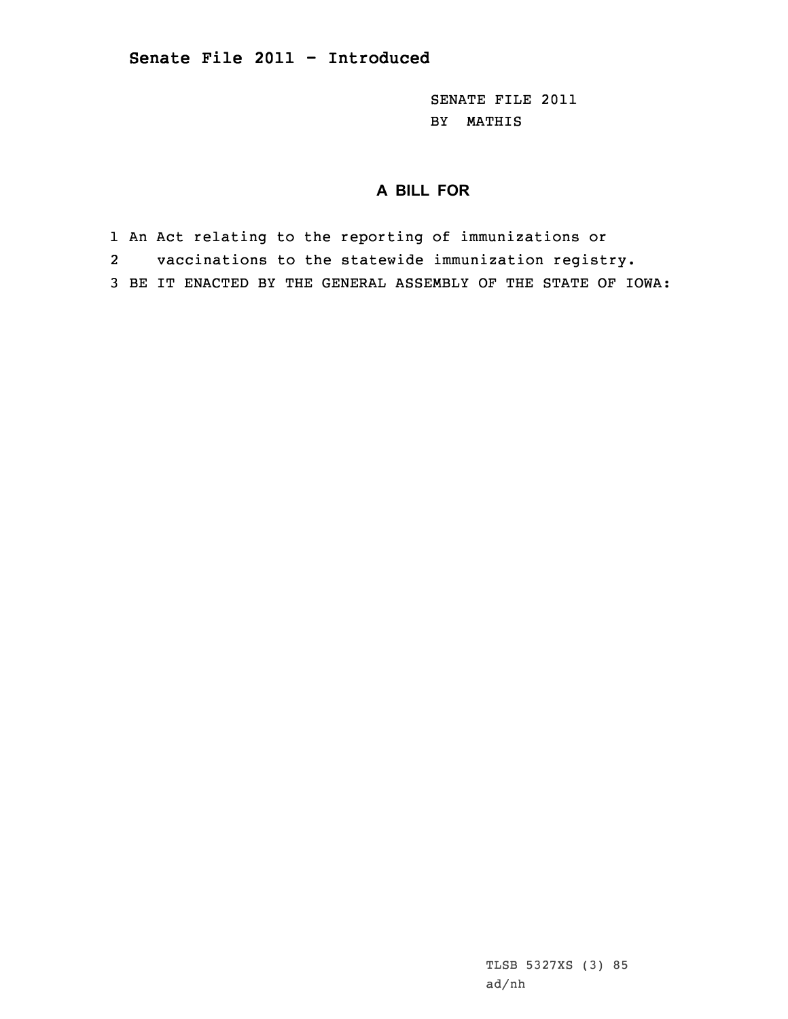SENATE FILE 2011 BY MATHIS

## **A BILL FOR**

- 1 An Act relating to the reporting of immunizations or
- 2vaccinations to the statewide immunization registry.
- 3 BE IT ENACTED BY THE GENERAL ASSEMBLY OF THE STATE OF IOWA:

TLSB 5327XS (3) 85 ad/nh